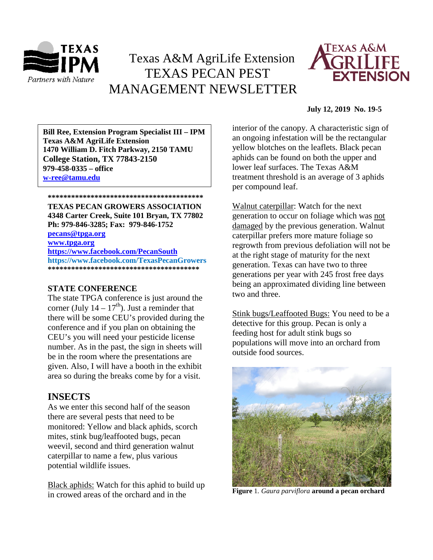

# Texas A&M AgriLife Extension TEXAS PECAN PEST MANAGEMENT NEWSLETTER



### **July 12, 2019 No. 19-5**

**\*\*\*\*\*\*\*\*\*\*\*\*\*\*\*\*\*\*\*\*\*\*\*\*\*\*\*\*\*\*\*\*\*\*\*\*\*\*\*\* 1470 William D. Fitch Parkway, 2150 TAMU Bill Ree, Extension Program Specialist III – IPM Texas A&M AgriLife Extension College Station, TX 77843-2150 979-458-0335 – office [w-ree@tamu.edu](mailto:w-ree@tamu.edu)**

**\*\*\*\*\*\*\*\*\*\*\*\*\*\*\*\*\*\*\*\*\*\*\*\*\*\*\*\*\*\*\*\*\*\*\*\*\*\*\*\* TEXAS PECAN GROWERS ASSOCIATION 4348 Carter Creek, Suite 101 Bryan, TX 77802**

**Ph: 979-846-3285; Fax: 979-846-1752**

**[pecans@tpga.org](mailto:pecans@tpga.org) [www.tpga.org](http://www.tpga.org/)**

**<https://www.facebook.com/PecanSouth> https://www.facebook.com/TexasPecanGrowers \*\*\*\*\*\*\*\*\*\*\*\*\*\*\*\*\*\*\*\*\*\*\*\*\*\*\*\*\*\*\*\*\*\*\*\*\*\*\***

## **STATE CONFERENCE**

The state TPGA conference is just around the corner (July  $14 - 17<sup>th</sup>$ ). Just a reminder that there will be some CEU's provided during the conference and if you plan on obtaining the CEU's you will need your pesticide license number. As in the past, the sign in sheets will be in the room where the presentations are given. Also, I will have a booth in the exhibit area so during the breaks come by for a visit.

# **INSECTS**

As we enter this second half of the season there are several pests that need to be monitored: Yellow and black aphids, scorch mites, stink bug/leaffooted bugs, pecan weevil, second and third generation walnut caterpillar to name a few, plus various potential wildlife issues.

Black aphids: Watch for this aphid to build up in crowed areas of the orchard and in the

interior of the canopy. A characteristic sign of an ongoing infestation will be the rectangular yellow blotches on the leaflets. Black pecan aphids can be found on both the upper and lower leaf surfaces. The Texas A&M treatment threshold is an average of 3 aphids per compound leaf.

Walnut caterpillar: Watch for the next generation to occur on foliage which was not damaged by the previous generation. Walnut caterpillar prefers more mature foliage so regrowth from previous defoliation will not be at the right stage of maturity for the next generation. Texas can have two to three generations per year with 245 frost free days being an approximated dividing line between two and three.

Stink bugs/Leaffooted Bugs: You need to be a detective for this group. Pecan is only a feeding host for adult stink bugs so populations will move into an orchard from outside food sources.



**Figure** 1*. Gaura parviflora* **around a pecan orchard**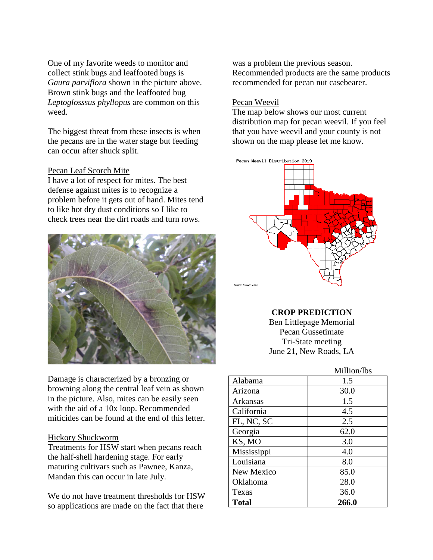One of my favorite weeds to monitor and collect stink bugs and leaffooted bugs is *Gaura parviflora* shown in the picture above. Brown stink bugs and the leaffooted bug *Leptoglosssus phyllopus* are common on this weed.

The biggest threat from these insects is when the pecans are in the water stage but feeding can occur after shuck split.

#### Pecan Leaf Scorch Mite

I have a lot of respect for mites. The best defense against mites is to recognize a problem before it gets out of hand. Mites tend to like hot dry dust conditions so I like to check trees near the dirt roads and turn rows.



Damage is characterized by a bronzing or browning along the central leaf vein as shown in the picture. Also, mites can be easily seen with the aid of a 10x loop. Recommended miticides can be found at the end of this letter.

#### Hickory Shuckworm

Treatments for HSW start when pecans reach the half-shell hardening stage. For early maturing cultivars such as Pawnee, Kanza, Mandan this can occur in late July.

We do not have treatment thresholds for HSW so applications are made on the fact that there

was a problem the previous season. Recommended products are the same products recommended for pecan nut casebearer.

### Pecan Weevil

The map below shows our most current distribution map for pecan weevil. If you feel that you have weevil and your county is not shown on the map please let me know.



# **CROP PREDICTION**

Ben Littlepage Memorial Pecan Gussetimate Tri-State meeting June 21, New Roads, LA

# Million/lbs

| Alabama      | 1.5   |
|--------------|-------|
| Arizona      | 30.0  |
| Arkansas     | 1.5   |
| California   | 4.5   |
| FL, NC, SC   | 2.5   |
| Georgia      | 62.0  |
| KS, MO       | 3.0   |
| Mississippi  | 4.0   |
| Louisiana    | 8.0   |
| New Mexico   | 85.0  |
| Oklahoma     | 28.0  |
| Texas        | 36.0  |
| <b>Total</b> | 266.0 |